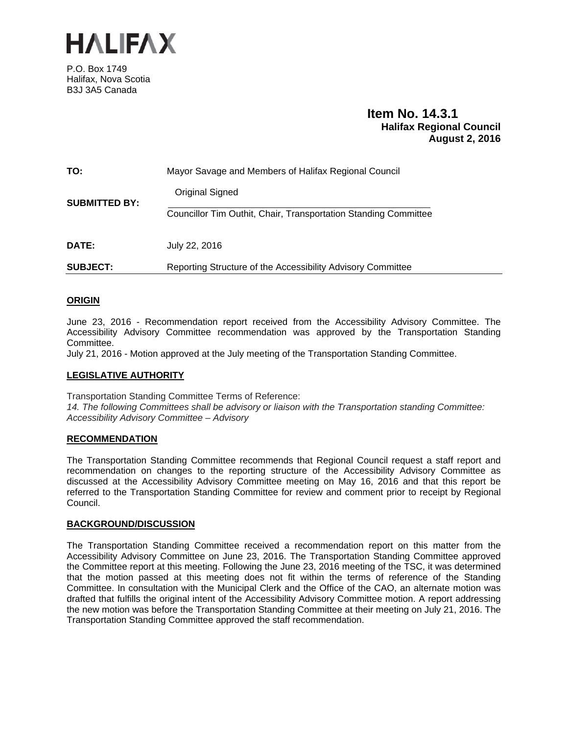

P.O. Box 1749 Halifax, Nova Scotia B3J 3A5 Canada

# **Item No. 14.3.1 Halifax Regional Council August 2, 2016**

| TO:                  | Mayor Savage and Members of Halifax Regional Council            |
|----------------------|-----------------------------------------------------------------|
| <b>SUBMITTED BY:</b> | Original Signed                                                 |
|                      | Councillor Tim Outhit, Chair, Transportation Standing Committee |
| <b>DATE:</b>         | July 22, 2016                                                   |
| <b>SUBJECT:</b>      | Reporting Structure of the Accessibility Advisory Committee     |

## **ORIGIN**

June 23, 2016 - Recommendation report received from the Accessibility Advisory Committee. The Accessibility Advisory Committee recommendation was approved by the Transportation Standing Committee.

July 21, 2016 - Motion approved at the July meeting of the Transportation Standing Committee.

## **LEGISLATIVE AUTHORITY**

Transportation Standing Committee Terms of Reference: *14. The following Committees shall be advisory or liaison with the Transportation standing Committee: Accessibility Advisory Committee – Advisory* 

## **RECOMMENDATION**

The Transportation Standing Committee recommends that Regional Council request a staff report and recommendation on changes to the reporting structure of the Accessibility Advisory Committee as discussed at the Accessibility Advisory Committee meeting on May 16, 2016 and that this report be referred to the Transportation Standing Committee for review and comment prior to receipt by Regional Council.

## **BACKGROUND/DISCUSSION**

The Transportation Standing Committee received a recommendation report on this matter from the Accessibility Advisory Committee on June 23, 2016. The Transportation Standing Committee approved the Committee report at this meeting. Following the June 23, 2016 meeting of the TSC, it was determined that the motion passed at this meeting does not fit within the terms of reference of the Standing Committee. In consultation with the Municipal Clerk and the Office of the CAO, an alternate motion was drafted that fulfills the original intent of the Accessibility Advisory Committee motion. A report addressing the new motion was before the Transportation Standing Committee at their meeting on July 21, 2016. The Transportation Standing Committee approved the staff recommendation.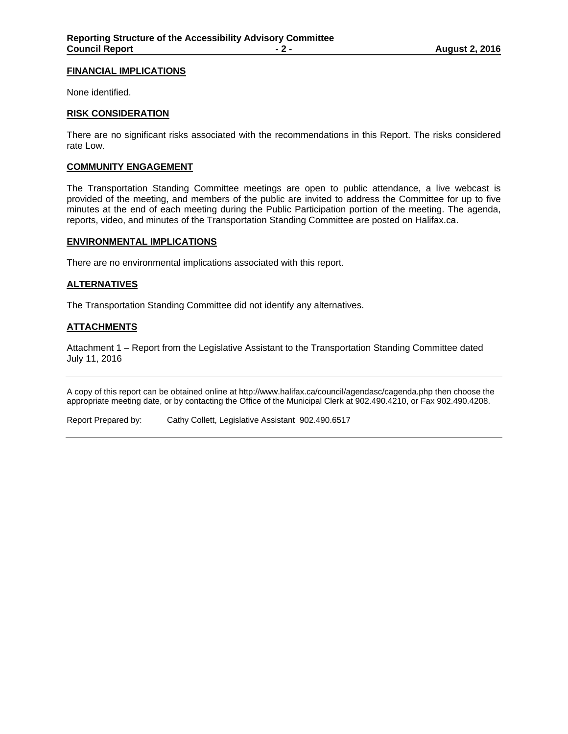#### **FINANCIAL IMPLICATIONS**

None identified.

#### **RISK CONSIDERATION**

There are no significant risks associated with the recommendations in this Report. The risks considered rate Low.

#### **COMMUNITY ENGAGEMENT**

The Transportation Standing Committee meetings are open to public attendance, a live webcast is provided of the meeting, and members of the public are invited to address the Committee for up to five minutes at the end of each meeting during the Public Participation portion of the meeting. The agenda, reports, video, and minutes of the Transportation Standing Committee are posted on Halifax.ca.

#### **ENVIRONMENTAL IMPLICATIONS**

There are no environmental implications associated with this report.

#### **ALTERNATIVES**

The Transportation Standing Committee did not identify any alternatives.

#### **ATTACHMENTS**

Attachment 1 – Report from the Legislative Assistant to the Transportation Standing Committee dated July 11, 2016

A copy of this report can be obtained online at http://www.halifax.ca/council/agendasc/cagenda.php then choose the appropriate meeting date, or by contacting the Office of the Municipal Clerk at 902.490.4210, or Fax 902.490.4208.

Report Prepared by: Cathy Collett, Legislative Assistant 902.490.6517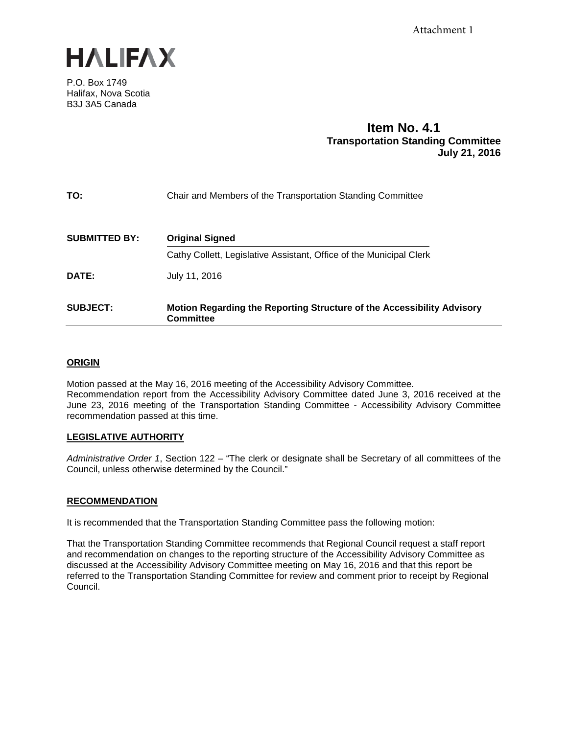

P.O. Box 1749 Halifax, Nova Scotia B3J 3A5 Canada

## **Item No. 4.1 Transportation Standing Committee July 21, 2016**

| TO:                  | Chair and Members of the Transportation Standing Committee                                 |
|----------------------|--------------------------------------------------------------------------------------------|
| <b>SUBMITTED BY:</b> | <b>Original Signed</b>                                                                     |
|                      | Cathy Collett, Legislative Assistant, Office of the Municipal Clerk                        |
| <b>DATE:</b>         | July 11, 2016                                                                              |
| <b>SUBJECT:</b>      | Motion Regarding the Reporting Structure of the Accessibility Advisory<br><b>Committee</b> |

## **ORIGIN**

Motion passed at the May 16, 2016 meeting of the Accessibility Advisory Committee. Recommendation report from the Accessibility Advisory Committee dated June 3, 2016 received at the June 23, 2016 meeting of the Transportation Standing Committee - Accessibility Advisory Committee recommendation passed at this time.

## **LEGISLATIVE AUTHORITY**

*Administrative Order 1*, Section 122 – "The clerk or designate shall be Secretary of all committees of the Council, unless otherwise determined by the Council."

## **RECOMMENDATION**

It is recommended that the Transportation Standing Committee pass the following motion:

That the Transportation Standing Committee recommends that Regional Council request a staff report and recommendation on changes to the reporting structure of the Accessibility Advisory Committee as discussed at the Accessibility Advisory Committee meeting on May 16, 2016 and that this report be referred to the Transportation Standing Committee for review and comment prior to receipt by Regional Council.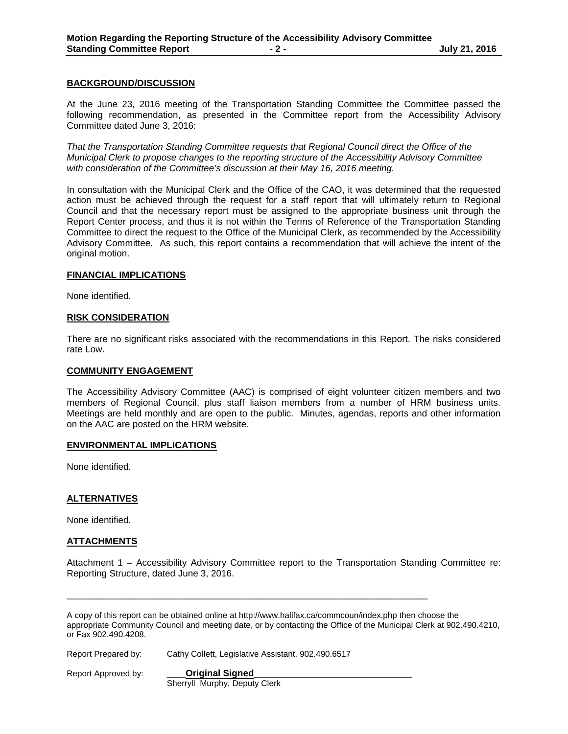#### **BACKGROUND/DISCUSSION**

At the June 23, 2016 meeting of the Transportation Standing Committee the Committee passed the following recommendation, as presented in the Committee report from the Accessibility Advisory Committee dated June 3, 2016:

*That the Transportation Standing Committee requests that Regional Council direct the Office of the Municipal Clerk to propose changes to the reporting structure of the Accessibility Advisory Committee with consideration of the Committee's discussion at their May 16, 2016 meeting.*

In consultation with the Municipal Clerk and the Office of the CAO, it was determined that the requested action must be achieved through the request for a staff report that will ultimately return to Regional Council and that the necessary report must be assigned to the appropriate business unit through the Report Center process, and thus it is not within the Terms of Reference of the Transportation Standing Committee to direct the request to the Office of the Municipal Clerk, as recommended by the Accessibility Advisory Committee. As such, this report contains a recommendation that will achieve the intent of the original motion.

#### **FINANCIAL IMPLICATIONS**

None identified.

#### **RISK CONSIDERATION**

There are no significant risks associated with the recommendations in this Report. The risks considered rate Low.

#### **COMMUNITY ENGAGEMENT**

The Accessibility Advisory Committee (AAC) is comprised of eight volunteer citizen members and two members of Regional Council, plus staff liaison members from a number of HRM business units. Meetings are held monthly and are open to the public. Minutes, agendas, reports and other information on the AAC are posted on the HRM website.

#### **ENVIRONMENTAL IMPLICATIONS**

None identified.

#### **ALTERNATIVES**

None identified.

## **ATTACHMENTS**

Attachment 1 – Accessibility Advisory Committee report to the Transportation Standing Committee re: Reporting Structure, dated June 3, 2016.

A copy of this report can be obtained online at http://www.halifax.ca/commcoun/index.php then choose the appropriate Community Council and meeting date, or by contacting the Office of the Municipal Clerk at 902.490.4210, or Fax 902.490.4208.

Report Prepared by: Cathy Collett, Legislative Assistant. 902.490.6517

Report Approved by: **\_\_\_\_\_\_ Original Signed** 

Sherryll Murphy, Deputy Clerk

\_\_\_\_\_\_\_\_\_\_\_\_\_\_\_\_\_\_\_\_\_\_\_\_\_\_\_\_\_\_\_\_\_\_\_\_\_\_\_\_\_\_\_\_\_\_\_\_\_\_\_\_\_\_\_\_\_\_\_\_\_\_\_\_\_\_\_\_\_\_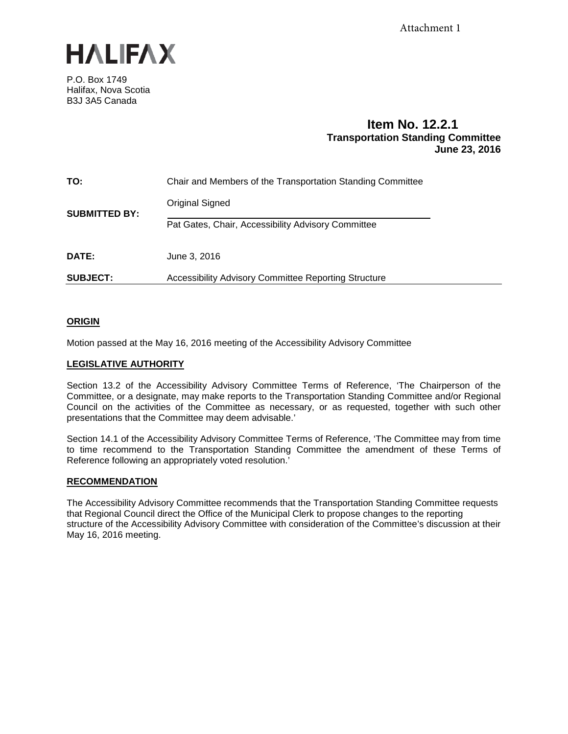

P.O. Box 1749 Halifax, Nova Scotia B3J 3A5 Canada

# **Item No. 12.2.1 Transportation Standing Committee June 23, 2016**

| TO:                  | Chair and Members of the Transportation Standing Committee |
|----------------------|------------------------------------------------------------|
| <b>SUBMITTED BY:</b> | Original Signed                                            |
|                      | Pat Gates, Chair, Accessibility Advisory Committee         |
| DATE:                | June 3, 2016                                               |
| <b>SUBJECT:</b>      | Accessibility Advisory Committee Reporting Structure       |

## **ORIGIN**

Motion passed at the May 16, 2016 meeting of the Accessibility Advisory Committee

## **LEGISLATIVE AUTHORITY**

Section 13.2 of the Accessibility Advisory Committee Terms of Reference, 'The Chairperson of the Committee, or a designate, may make reports to the Transportation Standing Committee and/or Regional Council on the activities of the Committee as necessary, or as requested, together with such other presentations that the Committee may deem advisable.'

Section 14.1 of the Accessibility Advisory Committee Terms of Reference, 'The Committee may from time to time recommend to the Transportation Standing Committee the amendment of these Terms of Reference following an appropriately voted resolution.'

## **RECOMMENDATION**

The Accessibility Advisory Committee recommends that the Transportation Standing Committee requests that Regional Council direct the Office of the Municipal Clerk to propose changes to the reporting structure of the Accessibility Advisory Committee with consideration of the Committee's discussion at their May 16, 2016 meeting.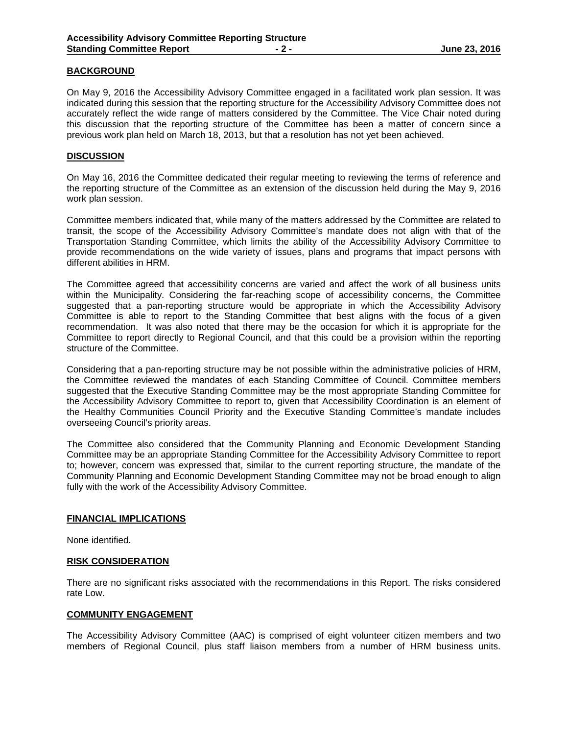## **BACKGROUND**

On May 9, 2016 the Accessibility Advisory Committee engaged in a facilitated work plan session. It was indicated during this session that the reporting structure for the Accessibility Advisory Committee does not accurately reflect the wide range of matters considered by the Committee. The Vice Chair noted during this discussion that the reporting structure of the Committee has been a matter of concern since a previous work plan held on March 18, 2013, but that a resolution has not yet been achieved.

## **DISCUSSION**

On May 16, 2016 the Committee dedicated their regular meeting to reviewing the terms of reference and the reporting structure of the Committee as an extension of the discussion held during the May 9, 2016 work plan session.

Committee members indicated that, while many of the matters addressed by the Committee are related to transit, the scope of the Accessibility Advisory Committee's mandate does not align with that of the Transportation Standing Committee, which limits the ability of the Accessibility Advisory Committee to provide recommendations on the wide variety of issues, plans and programs that impact persons with different abilities in HRM.

The Committee agreed that accessibility concerns are varied and affect the work of all business units within the Municipality. Considering the far-reaching scope of accessibility concerns, the Committee suggested that a pan-reporting structure would be appropriate in which the Accessibility Advisory Committee is able to report to the Standing Committee that best aligns with the focus of a given recommendation. It was also noted that there may be the occasion for which it is appropriate for the Committee to report directly to Regional Council, and that this could be a provision within the reporting structure of the Committee.

Considering that a pan-reporting structure may be not possible within the administrative policies of HRM, the Committee reviewed the mandates of each Standing Committee of Council. Committee members suggested that the Executive Standing Committee may be the most appropriate Standing Committee for the Accessibility Advisory Committee to report to, given that Accessibility Coordination is an element of the Healthy Communities Council Priority and the Executive Standing Committee's mandate includes overseeing Council's priority areas.

The Committee also considered that the Community Planning and Economic Development Standing Committee may be an appropriate Standing Committee for the Accessibility Advisory Committee to report to; however, concern was expressed that, similar to the current reporting structure, the mandate of the Community Planning and Economic Development Standing Committee may not be broad enough to align fully with the work of the Accessibility Advisory Committee.

#### **FINANCIAL IMPLICATIONS**

None identified.

#### **RISK CONSIDERATION**

There are no significant risks associated with the recommendations in this Report. The risks considered rate Low.

## **COMMUNITY ENGAGEMENT**

The Accessibility Advisory Committee (AAC) is comprised of eight volunteer citizen members and two members of Regional Council, plus staff liaison members from a number of HRM business units.